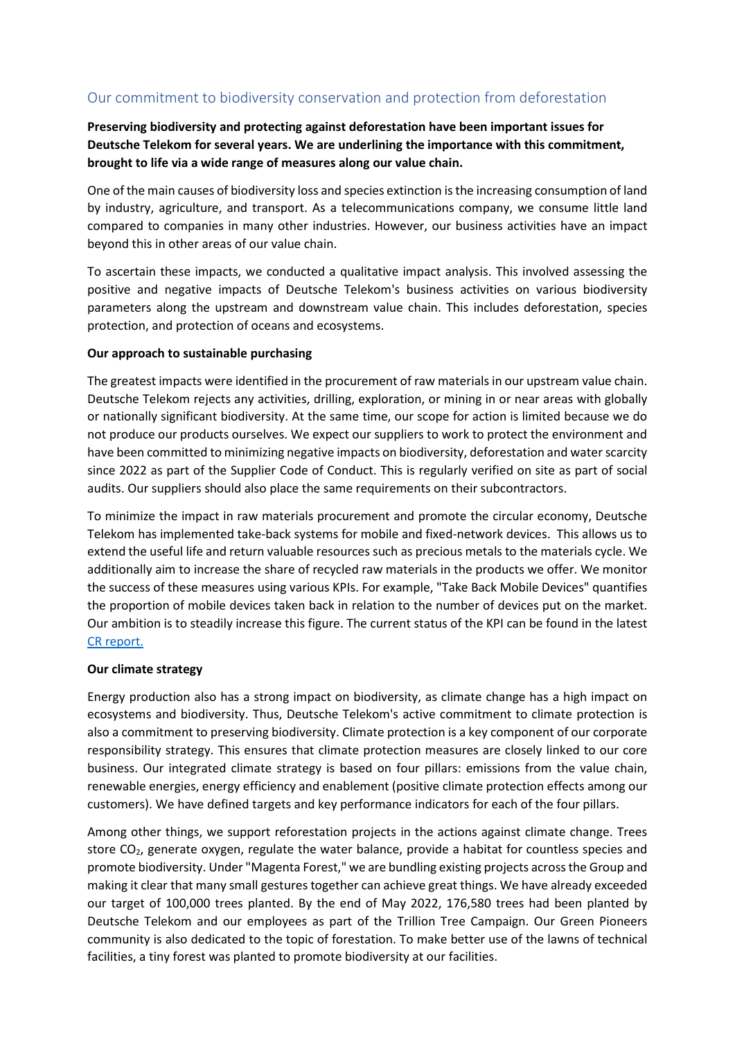# Our commitment to biodiversity conservation and protection from deforestation

# **Preserving biodiversity and protecting against deforestation have been important issues for Deutsche Telekom for several years. We are underlining the importance with this commitment, brought to life via a wide range of measures along our value chain.**

One of the main causes of biodiversity loss and species extinction is the increasing consumption of land by industry, agriculture, and transport. As a telecommunications company, we consume little land compared to companies in many other industries. However, our business activities have an impact beyond this in other areas of our value chain.

To ascertain these impacts, we conducted a qualitative impact analysis. This involved assessing the positive and negative impacts of Deutsche Telekom's business activities on various biodiversity parameters along the upstream and downstream value chain. This includes deforestation, species protection, and protection of oceans and ecosystems.

#### **Our approach to sustainable purchasing**

The greatest impacts were identified in the procurement of raw materials in our upstream value chain. Deutsche Telekom rejects any activities, drilling, exploration, or mining in or near areas with globally or nationally significant biodiversity. At the same time, our scope for action is limited because we do not produce our products ourselves. We expect our suppliers to work to protect the environment and have been committed to minimizing negative impacts on biodiversity, deforestation and water scarcity since 2022 as part of the Supplier Code of Conduct. This is regularly verified on site as part of social audits. Our suppliers should also place the same requirements on their subcontractors.

To minimize the impact in raw materials procurement and promote the circular economy, Deutsche Telekom has implemented take-back systems for mobile and fixed-network devices. This allows us to extend the useful life and return valuable resources such as precious metals to the materials cycle. We additionally aim to increase the share of recycled raw materials in the products we offer. We monitor the success of these measures using various KPIs. For example, "Take Back Mobile Devices" quantifies the proportion of mobile devices taken back in relation to the number of devices put on the market. Our ambition is to steadily increase this figure. The current status of the KPI can be found in the latest [CR report.](https://www.cr-bericht.telekom.com/2021/steuerung-fakten/umwelt/betrieblicher-ressourcenschutz)

#### **Our climate strategy**

Energy production also has a strong impact on biodiversity, as climate change has a high impact on ecosystems and biodiversity. Thus, Deutsche Telekom's active commitment to climate protection is also a commitment to preserving biodiversity. Climate protection is a key component of our corporate responsibility strategy. This ensures that climate protection measures are closely linked to our core business. Our integrated climate strategy is based on four pillars: emissions from the value chain, renewable energies, energy efficiency and enablement (positive climate protection effects among our customers). We have defined targets and key performance indicators for each of the four pillars.

Among other things, we support reforestation projects in the actions against climate change. Trees store CO2, generate oxygen, regulate the water balance, provide a habitat for countless species and promote biodiversity. Under "Magenta Forest," we are bundling existing projects across the Group and making it clear that many small gestures together can achieve great things. We have already exceeded our target of 100,000 trees planted. By the end of May 2022, 176,580 trees had been planted by Deutsche Telekom and our employees as part of the Trillion Tree Campaign. Our Green Pioneers community is also dedicated to the topic of forestation. To make better use of the lawns of technical facilities, a tiny forest was planted to promote biodiversity at our facilities.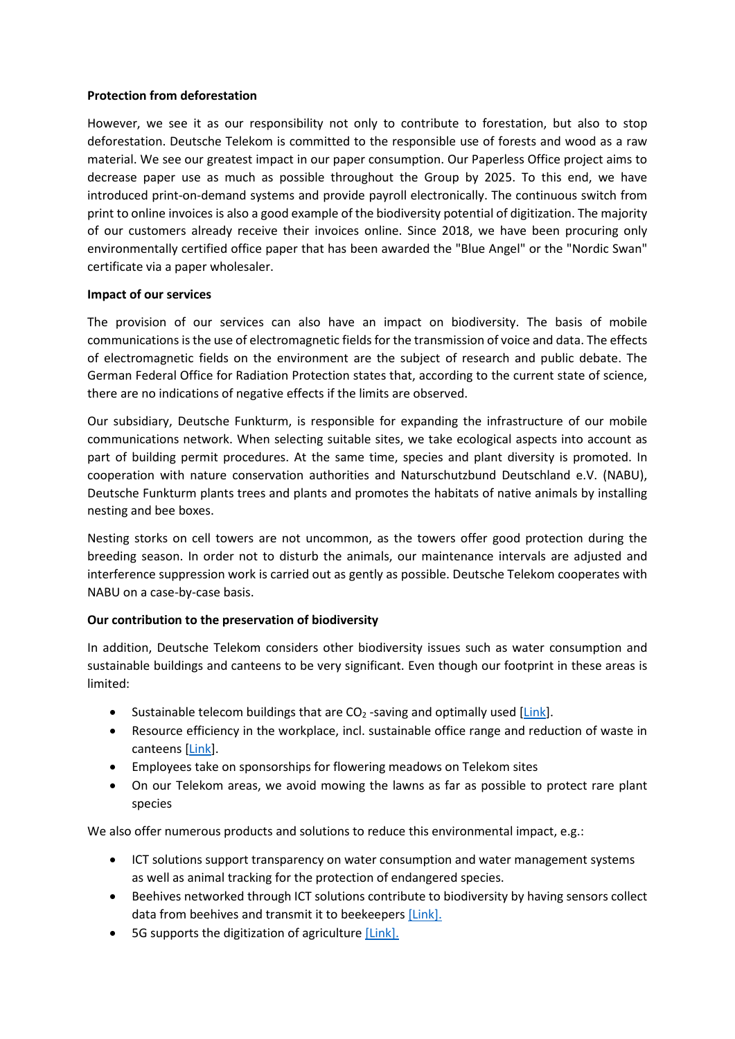### **Protection from deforestation**

However, we see it as our responsibility not only to contribute to forestation, but also to stop deforestation. Deutsche Telekom is committed to the responsible use of forests and wood as a raw material. We see our greatest impact in our paper consumption. Our Paperless Office project aims to decrease paper use as much as possible throughout the Group by 2025. To this end, we have introduced print-on-demand systems and provide payroll electronically. The continuous switch from print to online invoices is also a good example of the biodiversity potential of digitization. The majority of our customers already receive their invoices online. Since 2018, we have been procuring only environmentally certified office paper that has been awarded the "Blue Angel" or the "Nordic Swan" certificate via a paper wholesaler.

### **Impact of our services**

The provision of our services can also have an impact on biodiversity. The basis of mobile communications is the use of electromagnetic fields for the transmission of voice and data. The effects of electromagnetic fields on the environment are the subject of research and public debate. The German Federal Office for Radiation Protection states that, according to the current state of science, there are no indications of negative effects if the limits are observed.

Our subsidiary, Deutsche Funkturm, is responsible for expanding the infrastructure of our mobile communications network. When selecting suitable sites, we take ecological aspects into account as part of building permit procedures. At the same time, species and plant diversity is promoted. In cooperation with nature conservation authorities and Naturschutzbund Deutschland e.V. (NABU), Deutsche Funkturm plants trees and plants and promotes the habitats of native animals by installing nesting and bee boxes.

Nesting storks on cell towers are not uncommon, as the towers offer good protection during the breeding season. In order not to disturb the animals, our maintenance intervals are adjusted and interference suppression work is carried out as gently as possible. Deutsche Telekom cooperates with NABU on a case-by-case basis.

## **Our contribution to the preservation of biodiversity**

In addition, Deutsche Telekom considers other biodiversity issues such as water consumption and sustainable buildings and canteens to be very significant. Even though our footprint in these areas is limited:

- Sustainable telecom buildings that are  $CO<sub>2</sub>$ -saving and optimally used [\[Link\]](https://www.cr-bericht.telekom.com/2021/steuerung-fakten/umwelt/betrieblicher-ressourcenschutz#atn-16437-16363,atn-16437-18387,atn-16437-18388).
- Resource efficiency in the workplace, incl. sustainable office range and reduction of waste in canteens [\[Link\]](https://www.cr-bericht.telekom.com/2021/steuerung-fakten/umwelt/betrieblicher-ressourcenschutz#atn-16437-16363).
- Employees take on sponsorships for flowering meadows on Telekom sites
- On our Telekom areas, we avoid mowing the lawns as far as possible to protect rare plant species

We also offer numerous products and solutions to reduce this environmental impact, e.g.:

- ICT solutions support transparency on water consumption and water management systems as well as animal tracking for the protection of endangered species.
- Beehives networked through ICT solutions contribute to biodiversity by having sensors collect data from beehives and transmit it to beekeeper[s \[Link\].](https://www.cr-bericht.telekom.com/2021/steuerung-fakten/umwelt/betrieblicher-ressourcenschutz#atn-16437-16365)
- 5G supports the digitization of agriculture [\[Link\].](https://iot.telekom.com/de/blog/wie-5g-die-digitalisierung-der-landwirtschaft-befluegelt)